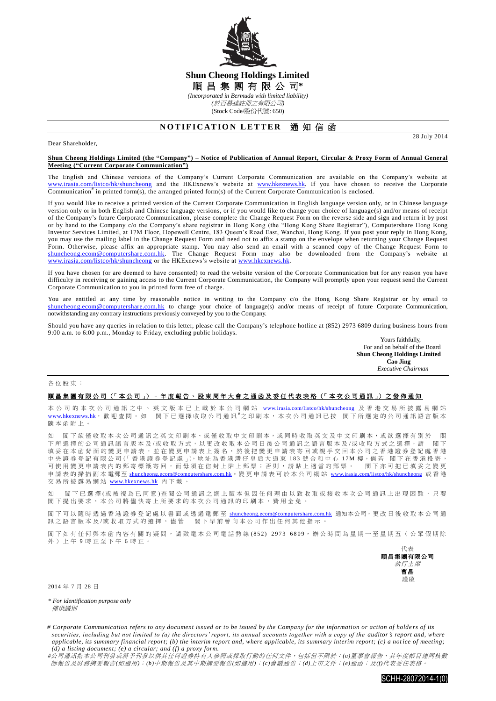

## **Shun Cheong Holdings Limited** 順 昌 集 團 有 限 公 司**\*** *(Incorporated in Bermuda with limited liability) (*於百慕達註冊之有限公司*)*

(Stock Code/股份代號: 650)

# **NOTIFICATION LETTER 通知信函**

Dear Shareholder,

28 July 2014

#### **Shun Cheong Holdings Limited (the "Company") – Notice of Publication of Annual Report, Circular & Proxy Form of Annual General Meeting ("Current Corporate Communication")**

The English and Chinese versions of the Company's Current Corporate Communication are available on the Company's website at [www.irasia.com/listco/hk/shuncheong](http://www.irasia.com/listco/hk/shuncheong) and the HKExnews's website at [www.hkexnews.hk.](http://www.hkexnews.hk/) If you have chosen to receive the Corporate Communication<sup>#</sup> in printed form(s), the arranged printed form(s) of the Current Corporate Communication is enclosed.

If you would like to receive a printed version of the Current Corporate Communication in English language version only, or in Chinese language version only or in both English and Chinese language versions, or if you would like to change your choice of language(s) and/or means of receipt of the Company's future Corporate Communication, please complete the Change Request Form on the reverse side and sign and return it by post or by hand to the Company c/o the Company's share registrar in Hong Kong (the "Hong Kong Share Registrar"), Computershare Hong Kong Investor Services Limited, at 17M Floor, Hopewell Centre, 183 Queen's Road East, Wanchai, Hong Kong. If you post your reply in Hong Kong, you may use the mailing label in the Change Request Form and need not to affix a stamp on the envelope when returning your Change Request Form. Otherwise, please affix an appropriate stamp. You may also send an email with a scanned copy of the Change Request Form to [shuncheong.ecom@computershare.com.hk.](mailto:shuncheong.ecom@computershare.com.hk) The Change Request Form may also be downloaded from the Company's website at [www.irasia.com/listco/hk/shuncheong](http://www.irasia.com/listco/hk/shuncheong) or the HKExnews's website at www.hkexnews.hk.

If you have chosen (or are deemed to have consented) to read the website version of the Corporate Communication but for any reason you have difficulty in receiving or gaining access to the Current Corporate Communication, the Company will promptly upon your request send the Current Corporate Communication to you in printed form free of charge.

You are entitled at any time by reasonable notice in writing to the Company c/o the Hong Kong Share Registrar or by email to [shuncheong.ecom@computershare.com.hk](mailto:shuncheong.ecom@computershare.com.hk) to change your choice of language(s) and/or means of receipt of future Corporate Communication, notwithstanding any contrary instructions previously conveyed by you to the Company.

Should you have any queries in relation to this letter, please call the Company's telephone hotline at (852) 2973 6809 during business hours from 9:00 a.m. to 6:00 p.m., Monday to Friday, excluding public holidays.

Yours faithfully, For and on behalf of the Board **Shun Cheong Holdings Limited Cao Jing**  *Executive Chairman*

#### 各位股東 :

### 順昌集團有限公司 (「本公司」) – [年度報告](http://www.hkexnews.hk/listedco/listconews/SEHK/2013/0730/LTN20130730693_C.pdf)、股東周年大會之通函及委任代表表格 (「本次公司通訊」) 之發佈通知

本 公 司 的 本 次 公 司 通 訊 之 中 、 英 文 版 本 已 上 載 於 本 公 司 網 站 [www.irasia.com/listco/hk/shuncheong](http://www.irasia.com/listco/hk/shuncheong) 及 香 港 交 易 所 披 露 易 網 站 [www.hkexnews.hk](http://www.hkexnews.hk/), 歡 迎 查 閱 。 閣下已選擇收取公司通訊 #之印刷本,本次公司通訊已按 閣下所選定的公司通訊語言版本 隨本函附上 。

如 閣下欲僅收取本次公司通訊之英文印刷本、或僅收取中文印刷本,或同時收取英文及中文印刷本,或欲選擇有別於 閣 下所選擇的公司通訊語言版本 及 /或 收 取 方 式 , 以 更 改 收 取 本公司日後 公司通訊之語言版本及 /或收取方式 之選擇 , 請 閣 下 填妥在本函背面的變更申請表,並在變更申請表上簽名,然後把變更申請表寄回或親手交回本公司之香港證券登記處香港 中央證券登記有限公司(「香港證券登記處」),地址為香港灣仔皇后大道東 183 號合和中心 17M 樓。倘若 閣下在香港投寄, 可使用變更申請表內的郵寄標籤寄回,而毋須在信封上貼上郵票;否則,請貼上適當的郵票。 閣下亦可把已填妥之變更 申請表 的掃描副本 電郵至 [shuncheong.ecom@computershare.com.hk](mailto:shuncheong.ecom@computershare.com.hk)。變 更 申請表可於 本公司 網 站 [www.irasia.com/listco/hk/shuncheong](http://www.irasia.com/listco/hk/shuncheong) 或 香 港 交易所披露易網站 [www.hkexnews.hk](http://www.hkexnews.hk/) 內 下載。

如 閣下已 選 擇 ( 或 被 視 為 已 同 意 ) 查 閱 公 司 通 訊 之 網 上 版 本 但 因 任 何 理 由 以 致 收 取 或 接 收 本 次 公 司 通 訊 上 出 現 困 難 , 只 要 閣 下 提出要求, 本公司將儘 快寄上所要求的 本次公司通訊 的印刷本,費用全免。

閣下可以隨時透過香港證券登記處以書面或透過電郵至 [shuncheong.ecom@computershare.com.hk](mailto:shuncheong.ecom@computershare.com.hk) 通知本公司,更改日後收取本公司通 訊之語言版本及/或收取方式的選擇,儘管 閣下早前曾向本公司作出任何其他指示。

閣下如有任何與本函內容有關的疑問,請致電本公司電話熱線(852) 2973 6809,辦公時間為星期一至星期五(公眾假期除 外)上午 9 時正至下午 6 時正。



2014 年 7 月 28 日

*\* For identification purpose only* **催**供諦則

*<sup>#</sup>*公司通訊指本公司刊發或將予刊發以供其任何證券持有人參照或採取行動的任何文件,包括但不限於:*(a)*董事會報告、其年度帳目連同核數 師報告及財務摘要報告*(*如適用*)*;*(b)*中期報告及其中期摘要報告*(*如適用*)*;*(c)*會議通告;*(d)*上市文件;*(e)*通函;及*(f)*代表委任表格。



*<sup>#</sup> Corporate Communication refers to any document issued or to be issued by the Company for the information or action of holde rs of its securities, including but not limited to (a) the directors' report, its annual accounts together with a copy of the auditor's report and, where applicable, its summary financial report; (b) the interim report and, where applicable, its summary interim report; (c) a not ice of meeting; (d) a listing document; (e) a circular; and (f) a proxy form.*